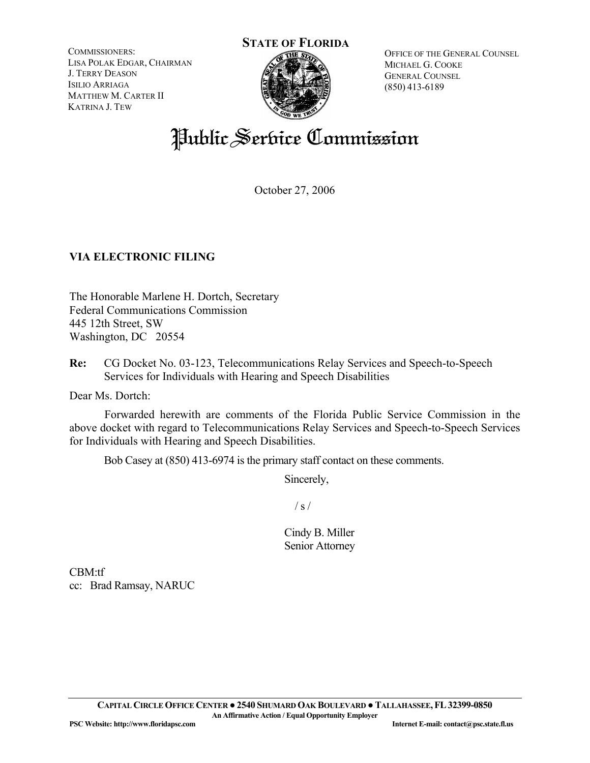COMMISSIONERS: LISA POLAK EDGAR, CHAIRMAN J. TERRY DEASON ISILIO ARRIAGA MATTHEW M. CARTER II KATRINA J. TEW

# **STATE OF FLORIDA**



OFFICE OF THE GENERAL COUNSEL MICHAEL G. COOKE GENERAL COUNSEL (850) 413-6189

# Public Service Commission

October 27, 2006

# **VIA ELECTRONIC FILING**

The Honorable Marlene H. Dortch, Secretary Federal Communications Commission 445 12th Street, SW Washington, DC 20554

**Re:** CG Docket No. 03-123, Telecommunications Relay Services and Speech-to-Speech Services for Individuals with Hearing and Speech Disabilities

Dear Ms. Dortch:

 Forwarded herewith are comments of the Florida Public Service Commission in the above docket with regard to Telecommunications Relay Services and Speech-to-Speech Services for Individuals with Hearing and Speech Disabilities.

Bob Casey at (850) 413-6974 is the primary staff contact on these comments.

Sincerely,

 $/ s /$ 

Cindy B. Miller Senior Attorney

CBM:tf cc: Brad Ramsay, NARUC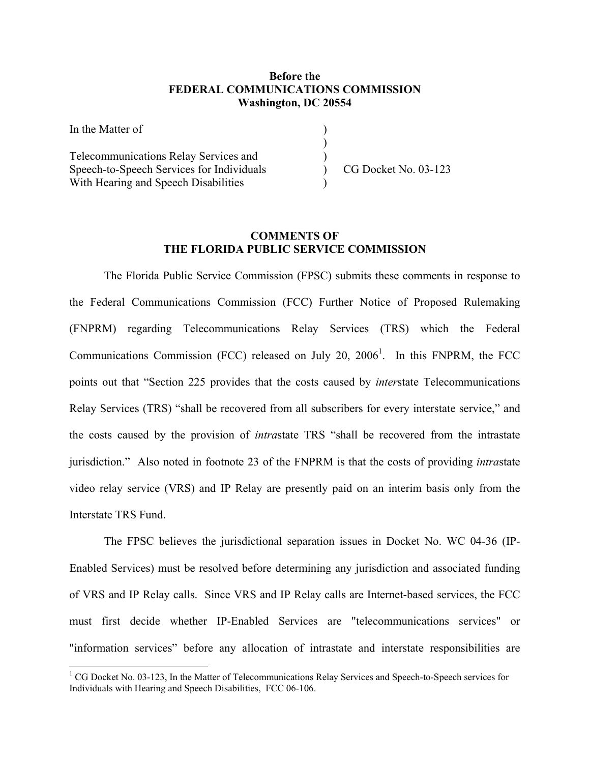#### **Before the FEDERAL COMMUNICATIONS COMMISSION Washington, DC 20554**

| In the Matter of                          |                      |
|-------------------------------------------|----------------------|
|                                           |                      |
| Telecommunications Relay Services and     |                      |
| Speech-to-Speech Services for Individuals | CG Docket No. 03-123 |
| With Hearing and Speech Disabilities      |                      |

## **COMMENTS OF THE FLORIDA PUBLIC SERVICE COMMISSION**

The Florida Public Service Commission (FPSC) submits these comments in response to the Federal Communications Commission (FCC) Further Notice of Proposed Rulemaking (FNPRM) regarding Telecommunications Relay Services (TRS) which the Federal Communications Commission (FCC) released on July 20,  $2006<sup>1</sup>$ . In this FNPRM, the FCC points out that "Section 225 provides that the costs caused by *inter*state Telecommunications Relay Services (TRS) "shall be recovered from all subscribers for every interstate service," and the costs caused by the provision of *intra*state TRS "shall be recovered from the intrastate jurisdiction." Also noted in footnote 23 of the FNPRM is that the costs of providing *intra*state video relay service (VRS) and IP Relay are presently paid on an interim basis only from the Interstate TRS Fund.

The FPSC believes the jurisdictional separation issues in Docket No. WC 04-36 (IP-Enabled Services) must be resolved before determining any jurisdiction and associated funding of VRS and IP Relay calls. Since VRS and IP Relay calls are Internet-based services, the FCC must first decide whether IP-Enabled Services are "telecommunications services" or "information services" before any allocation of intrastate and interstate responsibilities are

 $\overline{a}$ 

<sup>&</sup>lt;sup>1</sup> CG Docket No. 03-123, In the Matter of Telecommunications Relay Services and Speech-to-Speech services for Individuals with Hearing and Speech Disabilities, FCC 06-106.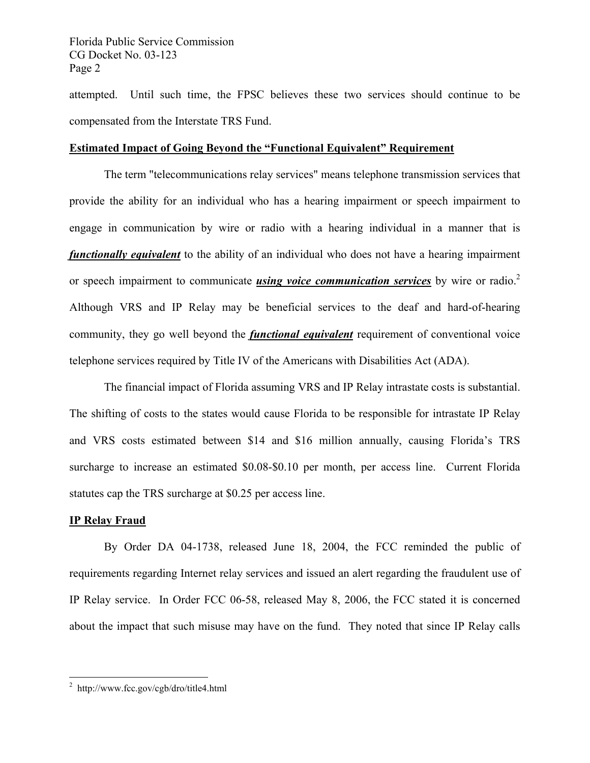attempted. Until such time, the FPSC believes these two services should continue to be compensated from the Interstate TRS Fund.

#### **Estimated Impact of Going Beyond the "Functional Equivalent" Requirement**

The term "telecommunications relay services" means telephone transmission services that provide the ability for an individual who has a hearing impairment or speech impairment to engage in communication by wire or radio with a hearing individual in a manner that is *functionally equivalent* to the ability of an individual who does not have a hearing impairment or speech impairment to communicate *using voice communication services* by wire or radio.<sup>2</sup> Although VRS and IP Relay may be beneficial services to the deaf and hard-of-hearing community, they go well beyond the *functional equivalent* requirement of conventional voice telephone services required by Title IV of the Americans with Disabilities Act (ADA).

The financial impact of Florida assuming VRS and IP Relay intrastate costs is substantial. The shifting of costs to the states would cause Florida to be responsible for intrastate IP Relay and VRS costs estimated between \$14 and \$16 million annually, causing Florida's TRS surcharge to increase an estimated \$0.08-\$0.10 per month, per access line. Current Florida statutes cap the TRS surcharge at \$0.25 per access line.

## **IP Relay Fraud**

 $\overline{a}$ 

By Order DA 04-1738, released June 18, 2004, the FCC reminded the public of requirements regarding Internet relay services and issued an alert regarding the fraudulent use of IP Relay service. In Order FCC 06-58, released May 8, 2006, the FCC stated it is concerned about the impact that such misuse may have on the fund. They noted that since IP Relay calls

<sup>&</sup>lt;sup>2</sup> http://www.fcc.gov/cgb/dro/title4.html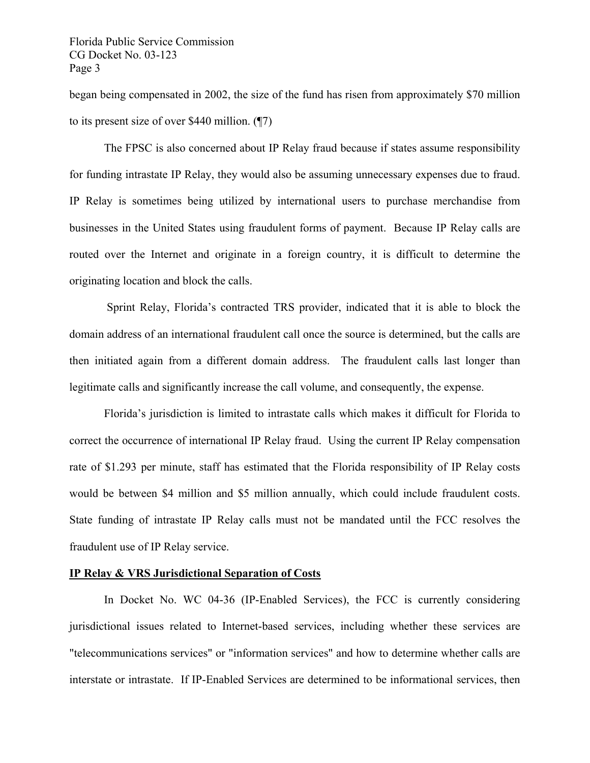began being compensated in 2002, the size of the fund has risen from approximately \$70 million to its present size of over \$440 million. (¶7)

The FPSC is also concerned about IP Relay fraud because if states assume responsibility for funding intrastate IP Relay, they would also be assuming unnecessary expenses due to fraud. IP Relay is sometimes being utilized by international users to purchase merchandise from businesses in the United States using fraudulent forms of payment. Because IP Relay calls are routed over the Internet and originate in a foreign country, it is difficult to determine the originating location and block the calls.

 Sprint Relay, Florida's contracted TRS provider, indicated that it is able to block the domain address of an international fraudulent call once the source is determined, but the calls are then initiated again from a different domain address. The fraudulent calls last longer than legitimate calls and significantly increase the call volume, and consequently, the expense.

Florida's jurisdiction is limited to intrastate calls which makes it difficult for Florida to correct the occurrence of international IP Relay fraud. Using the current IP Relay compensation rate of \$1.293 per minute, staff has estimated that the Florida responsibility of IP Relay costs would be between \$4 million and \$5 million annually, which could include fraudulent costs. State funding of intrastate IP Relay calls must not be mandated until the FCC resolves the fraudulent use of IP Relay service.

#### **IP Relay & VRS Jurisdictional Separation of Costs**

In Docket No. WC 04-36 (IP-Enabled Services), the FCC is currently considering jurisdictional issues related to Internet-based services, including whether these services are "telecommunications services" or "information services" and how to determine whether calls are interstate or intrastate. If IP-Enabled Services are determined to be informational services, then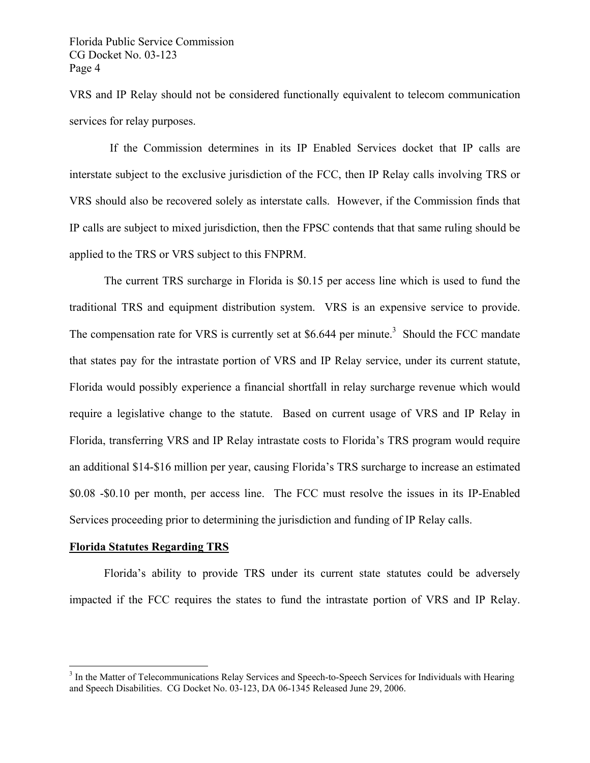VRS and IP Relay should not be considered functionally equivalent to telecom communication services for relay purposes.

 If the Commission determines in its IP Enabled Services docket that IP calls are interstate subject to the exclusive jurisdiction of the FCC, then IP Relay calls involving TRS or VRS should also be recovered solely as interstate calls. However, if the Commission finds that IP calls are subject to mixed jurisdiction, then the FPSC contends that that same ruling should be applied to the TRS or VRS subject to this FNPRM.

The current TRS surcharge in Florida is \$0.15 per access line which is used to fund the traditional TRS and equipment distribution system. VRS is an expensive service to provide. The compensation rate for VRS is currently set at \$6.644 per minute.<sup>3</sup> Should the FCC mandate that states pay for the intrastate portion of VRS and IP Relay service, under its current statute, Florida would possibly experience a financial shortfall in relay surcharge revenue which would require a legislative change to the statute. Based on current usage of VRS and IP Relay in Florida, transferring VRS and IP Relay intrastate costs to Florida's TRS program would require an additional \$14-\$16 million per year, causing Florida's TRS surcharge to increase an estimated \$0.08 -\$0.10 per month, per access line. The FCC must resolve the issues in its IP-Enabled Services proceeding prior to determining the jurisdiction and funding of IP Relay calls.

#### **Florida Statutes Regarding TRS**

 $\overline{a}$ 

Florida's ability to provide TRS under its current state statutes could be adversely impacted if the FCC requires the states to fund the intrastate portion of VRS and IP Relay.

<sup>&</sup>lt;sup>3</sup> In the Matter of Telecommunications Relay Services and Speech-to-Speech Services for Individuals with Hearing and Speech Disabilities. CG Docket No. 03-123, DA 06-1345 Released June 29, 2006.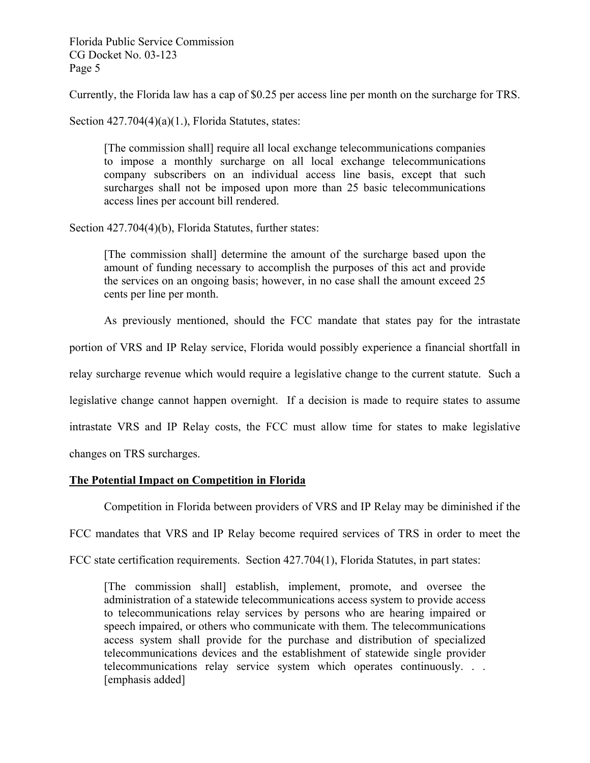Currently, the Florida law has a cap of \$0.25 per access line per month on the surcharge for TRS.

Section  $427.704(4)(a)(1)$ , Florida Statutes, states:

[The commission shall] require all local exchange telecommunications companies to impose a monthly surcharge on all local exchange telecommunications company subscribers on an individual access line basis, except that such surcharges shall not be imposed upon more than 25 basic telecommunications access lines per account bill rendered.

Section 427.704(4)(b), Florida Statutes, further states:

[The commission shall] determine the amount of the surcharge based upon the amount of funding necessary to accomplish the purposes of this act and provide the services on an ongoing basis; however, in no case shall the amount exceed 25 cents per line per month.

As previously mentioned, should the FCC mandate that states pay for the intrastate portion of VRS and IP Relay service, Florida would possibly experience a financial shortfall in relay surcharge revenue which would require a legislative change to the current statute. Such a legislative change cannot happen overnight. If a decision is made to require states to assume intrastate VRS and IP Relay costs, the FCC must allow time for states to make legislative changes on TRS surcharges.

#### **The Potential Impact on Competition in Florida**

Competition in Florida between providers of VRS and IP Relay may be diminished if the FCC mandates that VRS and IP Relay become required services of TRS in order to meet the FCC state certification requirements. Section 427.704(1), Florida Statutes, in part states:

[The commission shall] establish, implement, promote, and oversee the administration of a statewide telecommunications access system to provide access to telecommunications relay services by persons who are hearing impaired or speech impaired, or others who communicate with them. The telecommunications access system shall provide for the purchase and distribution of specialized telecommunications devices and the establishment of statewide single provider telecommunications relay service system which operates continuously. . . [emphasis added]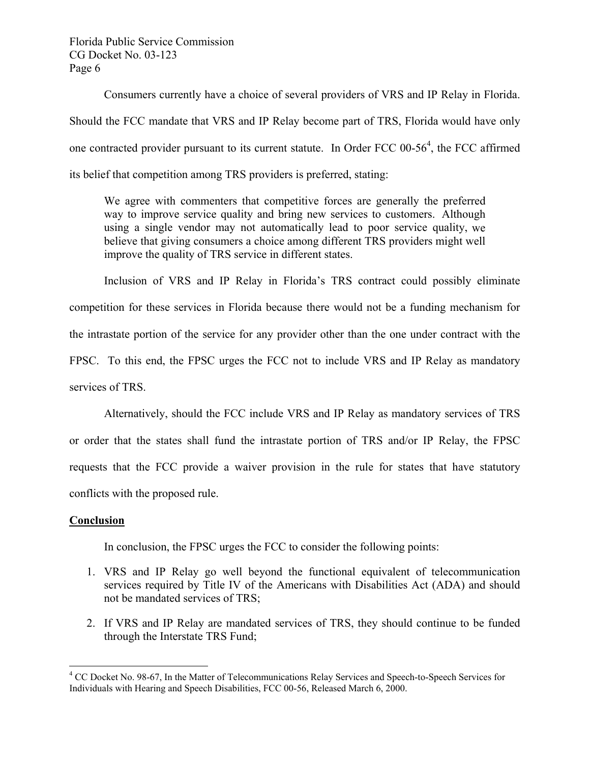Consumers currently have a choice of several providers of VRS and IP Relay in Florida. Should the FCC mandate that VRS and IP Relay become part of TRS, Florida would have only one contracted provider pursuant to its current statute. In Order FCC  $00-56^4$ , the FCC affirmed its belief that competition among TRS providers is preferred, stating:

We agree with commenters that competitive forces are generally the preferred way to improve service quality and bring new services to customers. Although using a single vendor may not automatically lead to poor service quality, we believe that giving consumers a choice among different TRS providers might well improve the quality of TRS service in different states.

Inclusion of VRS and IP Relay in Florida's TRS contract could possibly eliminate competition for these services in Florida because there would not be a funding mechanism for the intrastate portion of the service for any provider other than the one under contract with the FPSC. To this end, the FPSC urges the FCC not to include VRS and IP Relay as mandatory services of TRS.

Alternatively, should the FCC include VRS and IP Relay as mandatory services of TRS or order that the states shall fund the intrastate portion of TRS and/or IP Relay, the FPSC requests that the FCC provide a waiver provision in the rule for states that have statutory conflicts with the proposed rule.

## **Conclusion**

1

In conclusion, the FPSC urges the FCC to consider the following points:

- 1. VRS and IP Relay go well beyond the functional equivalent of telecommunication services required by Title IV of the Americans with Disabilities Act (ADA) and should not be mandated services of TRS;
- 2. If VRS and IP Relay are mandated services of TRS, they should continue to be funded through the Interstate TRS Fund;

<sup>&</sup>lt;sup>4</sup> CC Docket No. 98-67, In the Matter of Telecommunications Relay Services and Speech-to-Speech Services for Individuals with Hearing and Speech Disabilities, FCC 00-56, Released March 6, 2000.